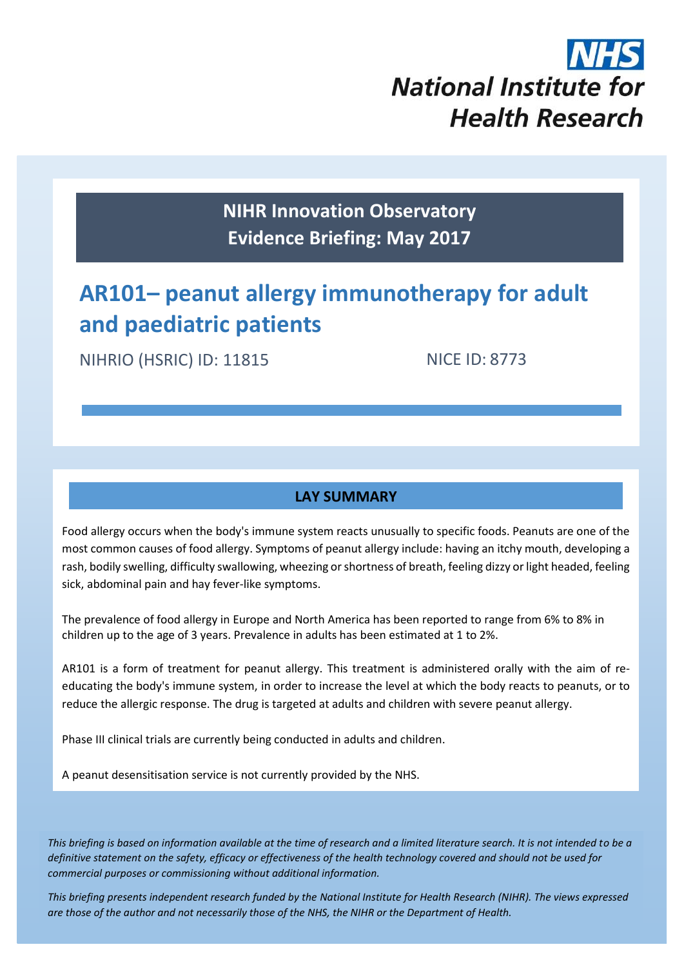

**NIHR Innovation Observatory Evidence Briefing: May 2017**

# **AR101– peanut allergy immunotherapy for adult and paediatric patients**

NIHRIO (HSRIC) ID: 11815

NICE ID: 8773

## **LAY SUMMARY**

Food allergy occurs when the body's immune system reacts unusually to specific foods. Peanuts are one of the most common causes of food allergy. Symptoms of peanut allergy include: having an itchy mouth, developing a rash, bodily swelling, difficulty swallowing, wheezing or shortness of breath, feeling dizzy or light headed, feeling sick, abdominal pain and hay fever-like symptoms.

The prevalence of food allergy in Europe and North America has been reported to range from 6% to 8% in children up to the age of 3 years. Prevalence in adults has been estimated at 1 to 2%.

AR101 is a form of treatment for peanut allergy. This treatment is administered orally with the aim of reeducating the body's immune system, in order to increase the level at which the body reacts to peanuts, or to reduce the allergic response. The drug is targeted at adults and children with severe peanut allergy.

Phase III clinical trials are currently being conducted in adults and children.

A peanut desensitisation service is not currently provided by the NHS.

*This briefing is based on information available at the time of research and a limited literature search. It is not intended to be a definitive statement on the safety, efficacy or effectiveness of the health technology covered and should not be used for commercial purposes or commissioning without additional information.*

1 *This briefing presents independent research funded by the National Institute for Health Research (NIHR). The views expressed are those of the author and not necessarily those of the NHS, the NIHR or the Department of Health.*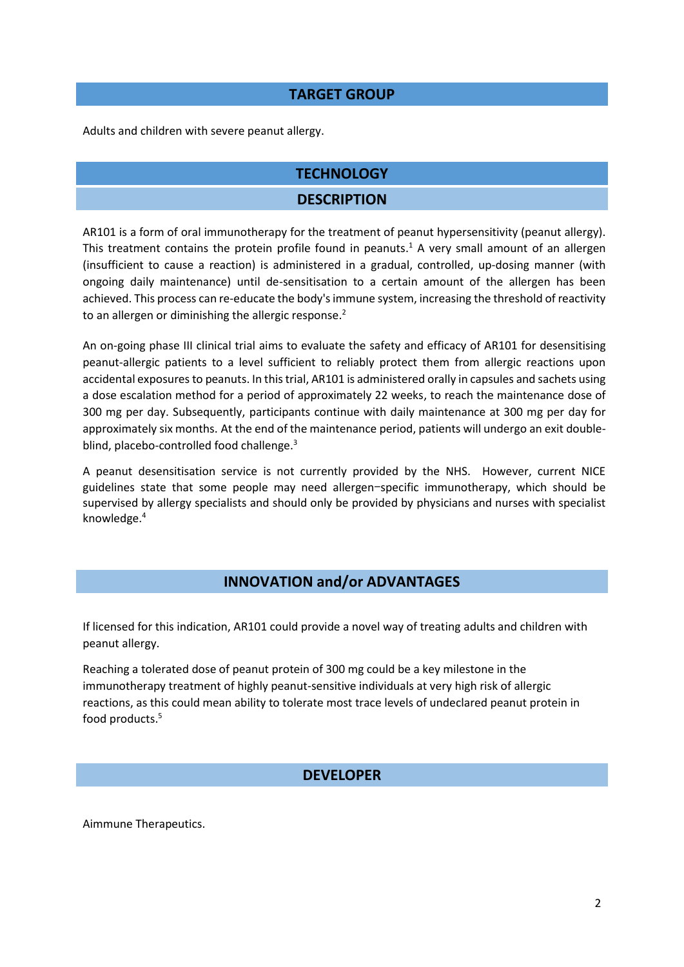#### **TARGET GROUP**

Adults and children with severe peanut allergy.

# **TECHNOLOGY DESCRIPTION**

AR101 is a form of oral immunotherapy for the treatment of peanut hypersensitivity (peanut allergy). This treatment contains the protein profile found in peanuts.<sup>1</sup> A very small amount of an allergen (insufficient to cause a reaction) is administered in a gradual, controlled, up-dosing manner (with ongoing daily maintenance) until de-sensitisation to a certain amount of the allergen has been achieved. This process can re-educate the body's immune system, increasing the threshold of reactivity to an allergen or diminishing the allergic response.<sup>2</sup>

An on-going phase III clinical trial aims to evaluate the safety and efficacy of AR101 for desensitising peanut-allergic patients to a level sufficient to reliably protect them from allergic reactions upon accidental exposures to peanuts. In this trial, AR101 is administered orally in capsules and sachets using a dose escalation method for a period of approximately 22 weeks, to reach the maintenance dose of 300 mg per day. Subsequently, participants continue with daily maintenance at 300 mg per day for approximately six months. At the end of the maintenance period, patients will undergo an exit doubleblind, placebo-controlled food challenge.<sup>3</sup>

A peanut desensitisation service is not currently provided by the NHS. However, current NICE guidelines state that some people may need allergen-specific immunotherapy, which should be supervised by allergy specialists and should only be provided by physicians and nurses with specialist knowledge.<sup>4</sup>

## **INNOVATION and/or ADVANTAGES**

If licensed for this indication, AR101 could provide a novel way of treating adults and children with peanut allergy.

Reaching a tolerated dose of peanut protein of 300 mg could be a key milestone in the immunotherapy treatment of highly peanut-sensitive individuals at very high risk of allergic reactions, as this could mean ability to tolerate most trace levels of undeclared peanut protein in food products. 5

#### **DEVELOPER**

Aimmune Therapeutics.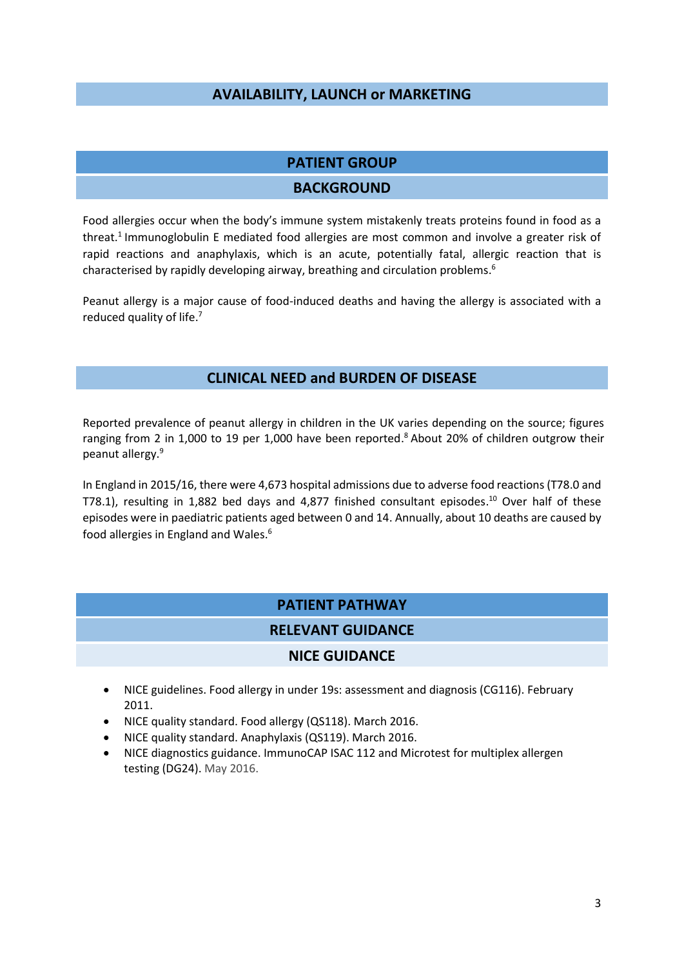#### **AVAILABILITY, LAUNCH or MARKETING**

#### **PATIENT GROUP**

#### **BACKGROUND**

Food allergies occur when the body's immune system mistakenly treats proteins found in food as a threat. 1 Immunoglobulin E mediated food allergies are most common and involve a greater risk of rapid reactions and anaphylaxis, which is an acute, potentially fatal, allergic reaction that is characterised by rapidly developing airway, breathing and circulation problems. 6

Peanut allergy is a major cause of food-induced deaths and having the allergy is associated with a reduced quality of life.<sup>7</sup>

#### **CLINICAL NEED and BURDEN OF DISEASE**

Reported prevalence of peanut allergy in children in the UK varies depending on the source; figures ranging from 2 in 1,000 to 19 per 1,000 have been reported.<sup>8</sup> About 20% of children outgrow their peanut allergy. 9

In England in 2015/16, there were 4,673 hospital admissions due to adverse food reactions (T78.0 and T78.1), resulting in 1,882 bed days and 4,877 finished consultant episodes. <sup>10</sup> Over half of these episodes were in paediatric patients aged between 0 and 14. Annually, about 10 deaths are caused by food allergies in England and Wales. 6

#### **PATIENT PATHWAY**

#### **RELEVANT GUIDANCE**

#### **NICE GUIDANCE**

- NICE guidelines. Food allergy in under 19s: assessment and diagnosis (CG116). February 2011.
- NICE quality standard. Food allergy (QS118). March 2016.
- NICE quality standard. Anaphylaxis (QS119). March 2016.
- NICE diagnostics guidance. ImmunoCAP ISAC 112 and Microtest for multiplex allergen testing (DG24). May 2016.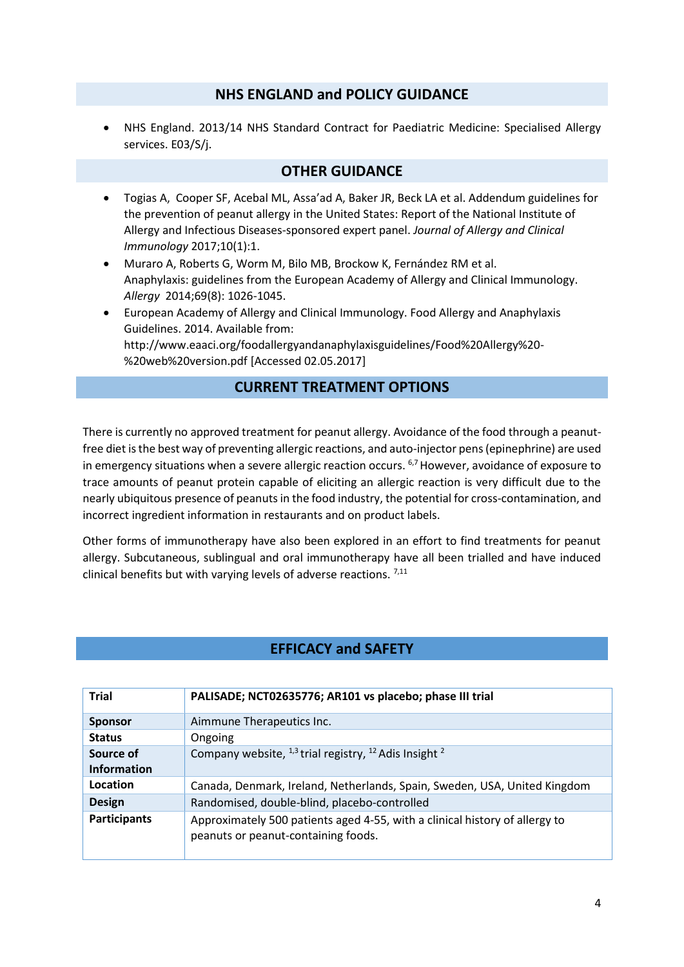#### **NHS ENGLAND and POLICY GUIDANCE**

 NHS England. 2013/14 NHS Standard Contract for Paediatric Medicine: Specialised Allergy services. E03/S/j.

#### **OTHER GUIDANCE**

- Togias A, Cooper SF, Acebal ML, Assa'ad A, Baker JR, Beck LA et al. Addendum guidelines for the prevention of peanut allergy in the United States: Report of the National Institute of Allergy and Infectious Diseases-sponsored expert panel. *Journal of Allergy and Clinical Immunology* 2017;10(1):1.
- Muraro A, Roberts G, Worm M, Bilo MB, Brockow K, Fernández RM et al. Anaphylaxis: guidelines from the European Academy of Allergy and Clinical Immunology. *Allergy* 2014;69(8): 1026-1045.
- European Academy of Allergy and Clinical Immunology. Food Allergy and Anaphylaxis Guidelines. 2014. Available from: [http://www.eaaci.org/foodallergyandanaphylaxisguidelines/Food%20Allergy%20-](http://www.eaaci.org/foodallergyandanaphylaxisguidelines/Food%20Allergy%20-%20web%20version.pdf) [%20web%20version.pdf](http://www.eaaci.org/foodallergyandanaphylaxisguidelines/Food%20Allergy%20-%20web%20version.pdf) [Accessed 02.05.2017]

## **CURRENT TREATMENT OPTIONS**

There is currently no approved treatment for peanut allergy. Avoidance of the food through a peanutfree diet is the best way of preventing allergic reactions, and auto-injector pens (epinephrine) are used in emergency situations when a severe allergic reaction occurs. <sup>6,7</sup> However, avoidance of exposure to trace amounts of peanut protein capable of eliciting an allergic reaction is very difficult due to the nearly ubiquitous presence of peanuts in the food industry, the potential for cross-contamination, and incorrect ingredient information in restaurants and on product labels.

Other forms of immunotherapy have also been explored in an effort to find treatments for peanut allergy. Subcutaneous, sublingual and oral immunotherapy have all been trialled and have induced clinical benefits but with varying levels of adverse reactions.  $7,11$ 

## **EFFICACY and SAFETY**

| <b>Trial</b>        | PALISADE; NCT02635776; AR101 vs placebo; phase III trial                                                           |
|---------------------|--------------------------------------------------------------------------------------------------------------------|
| <b>Sponsor</b>      | Aimmune Therapeutics Inc.                                                                                          |
| <b>Status</b>       | Ongoing                                                                                                            |
| Source of           | Company website, $^{1,3}$ trial registry, $^{12}$ Adis Insight $^2$                                                |
| <b>Information</b>  |                                                                                                                    |
| Location            | Canada, Denmark, Ireland, Netherlands, Spain, Sweden, USA, United Kingdom                                          |
| <b>Design</b>       | Randomised, double-blind, placebo-controlled                                                                       |
| <b>Participants</b> | Approximately 500 patients aged 4-55, with a clinical history of allergy to<br>peanuts or peanut-containing foods. |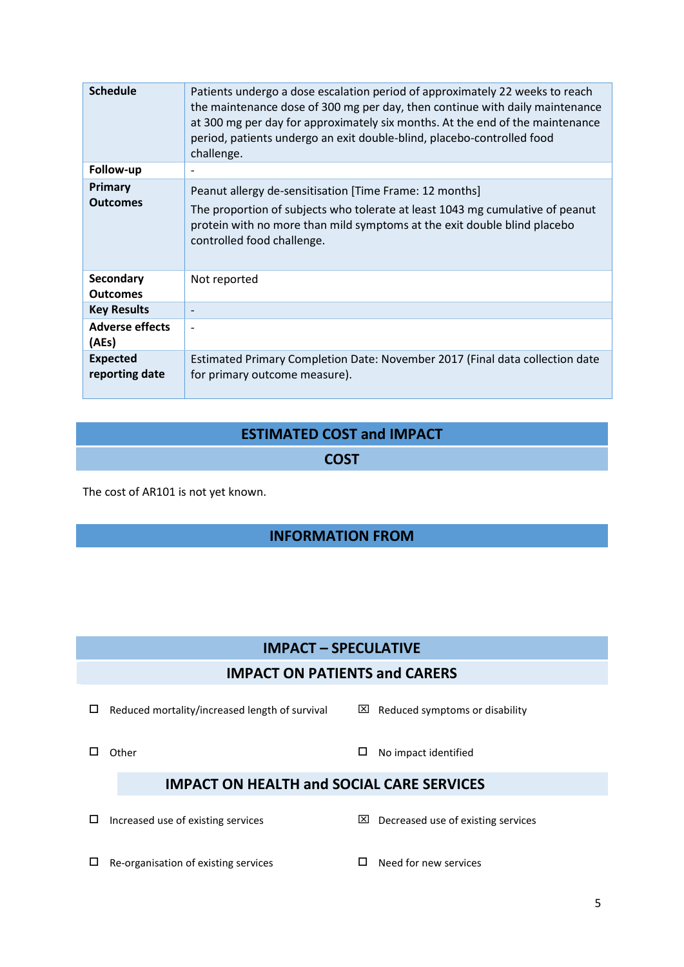| <b>Schedule</b>                   | Patients undergo a dose escalation period of approximately 22 weeks to reach<br>the maintenance dose of 300 mg per day, then continue with daily maintenance<br>at 300 mg per day for approximately six months. At the end of the maintenance<br>period, patients undergo an exit double-blind, placebo-controlled food<br>challenge. |
|-----------------------------------|---------------------------------------------------------------------------------------------------------------------------------------------------------------------------------------------------------------------------------------------------------------------------------------------------------------------------------------|
| Follow-up                         |                                                                                                                                                                                                                                                                                                                                       |
| Primary<br><b>Outcomes</b>        | Peanut allergy de-sensitisation [Time Frame: 12 months]<br>The proportion of subjects who tolerate at least 1043 mg cumulative of peanut<br>protein with no more than mild symptoms at the exit double blind placebo<br>controlled food challenge.                                                                                    |
| Secondary<br><b>Outcomes</b>      | Not reported                                                                                                                                                                                                                                                                                                                          |
| <b>Key Results</b>                |                                                                                                                                                                                                                                                                                                                                       |
| <b>Adverse effects</b><br>(AEs)   |                                                                                                                                                                                                                                                                                                                                       |
| <b>Expected</b><br>reporting date | Estimated Primary Completion Date: November 2017 (Final data collection date<br>for primary outcome measure).                                                                                                                                                                                                                         |

# **ESTIMATED COST and IMPACT**

#### **COST**

The cost of AR101 is not yet known.

# **INFORMATION FROM**

# **IMPACT – SPECULATIVE**

## **IMPACT ON PATIENTS and CARERS**

 $\square$  Reduced mortality/increased length of survival  $\square$  Reduced symptoms or disability

 $\Box$  Other  $\Box$  Other  $\Box$  No impact identified

# **IMPACT ON HEALTH and SOCIAL CARE SERVICES**

- $\square$  Increased use of existing services  $\square$  Decreased use of existing services
- $\Box$  Re-organisation of existing services  $\Box$  Need for new services
-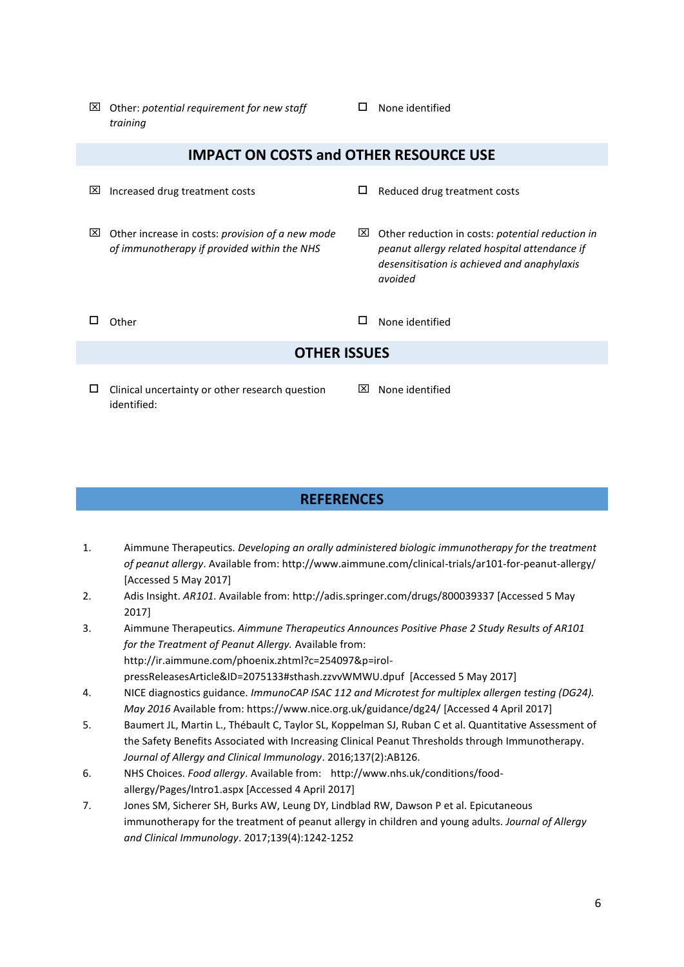Other: *potential requirement for new staff training*

#### $\square$  None identified

#### **IMPACT ON COSTS and OTHER RESOURCE USE**

- $\boxtimes$  Increased drug treatment costs  $\Box$  Reduced drug treatment costs
	-

 Other reduction in costs: *potential reduction in peanut allergy related hospital attendance if desensitisation is achieved and anaphylaxis* 

- Other increase in costs: *provision of a new mode of immunotherapy if provided within the NHS*
- 

 $\Box$  Other  $\Box$  Other  $\Box$  None identified

*avoided*

#### **OTHER ISSUES**

- $\Box$  Clinical uncertainty or other research question identified:
- $\boxtimes$  None identified

#### **REFERENCES**

- 1. Aimmune Therapeutics. *Developing an orally administered biologic immunotherapy for the treatment of peanut allergy*. Available from: http://www.aimmune.com/clinical-trials/ar101-for-peanut-allergy/ [Accessed 5 May 2017]
- 2. Adis Insight. *AR101*. Available from: http://adis.springer.com/drugs/800039337 [Accessed 5 May 2017]
- 3. Aimmune Therapeutics. *Aimmune Therapeutics Announces Positive Phase 2 Study Results of AR101 for the Treatment of Peanut Allergy.* Available from: http://ir.aimmune.com/phoenix.zhtml?c=254097&p=irolpressReleasesArticle&ID=2075133#sthash.zzvvWMWU.dpuf [Accessed 5 May 2017]
- 4. NICE diagnostics guidance. *ImmunoCAP ISAC 112 and Microtest for multiplex allergen testing (DG24). May 2016* Available from:<https://www.nice.org.uk/guidance/dg24/> [Accessed 4 April 2017]
- 5. Baumert JL, Martin L., Thébault C, Taylor SL, Koppelman SJ, Ruban C et al. Quantitative Assessment of the Safety Benefits Associated with Increasing Clinical Peanut Thresholds through Immunotherapy. *Journal of Allergy and Clinical Immunology*. 2016;137(2):AB126.
- 6. NHS Choices. *Food allergy*. Available from: http://www.nhs.uk/conditions/foodallergy/Pages/Intro1.aspx [Accessed 4 April 2017]
- 7. Jones SM, Sicherer SH, Burks AW, Leung DY, Lindblad RW, Dawson P et al. Epicutaneous immunotherapy for the treatment of peanut allergy in children and young adults. *Journal of Allergy and Clinical Immunology*. 2017;139(4):1242-1252